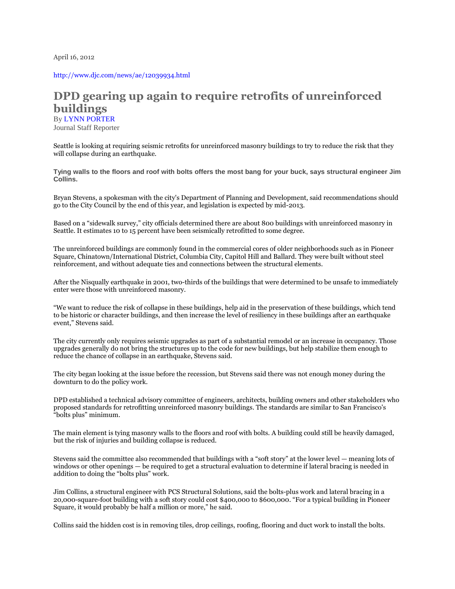April 16, 2012

<http://www.djc.com/news/ae/12039934.html>

## **DPD gearing up again to require retrofits of unreinforced buildings** By LYNN [PORTER](javascript:void(doEmailPost()

Journal Staff Reporter

Seattle is looking at requiring seismic retrofits for unreinforced masonry buildings to try to reduce the risk that they will collapse during an earthquake.

**Tying walls to the floors and roof with bolts offers the most bang for your buck, says structural engineer Jim Collins.** 

Bryan Stevens, a spokesman with the city's Department of Planning and Development, said recommendations should go to the City Council by the end of this year, and legislation is expected by mid-2013.

Based on a "sidewalk survey," city officials determined there are about 800 buildings with unreinforced masonry in Seattle. It estimates 10 to 15 percent have been seismically retrofitted to some degree.

The unreinforced buildings are commonly found in the commercial cores of older neighborhoods such as in Pioneer Square, Chinatown/International District, Columbia City, Capitol Hill and Ballard. They were built without steel reinforcement, and without adequate ties and connections between the structural elements.

After the Nisqually earthquake in 2001, two-thirds of the buildings that were determined to be unsafe to immediately enter were those with unreinforced masonry.

"We want to reduce the risk of collapse in these buildings, help aid in the preservation of these buildings, which tend to be historic or character buildings, and then increase the level of resiliency in these buildings after an earthquake event," Stevens said.

The city currently only requires seismic upgrades as part of a substantial remodel or an increase in occupancy. Those upgrades generally do not bring the structures up to the code for new buildings, but help stabilize them enough to reduce the chance of collapse in an earthquake, Stevens said.

The city began looking at the issue before the recession, but Stevens said there was not enough money during the downturn to do the policy work.

DPD established a technical advisory committee of engineers, architects, building owners and other stakeholders who proposed standards for retrofitting unreinforced masonry buildings. The standards are similar to San Francisco's "bolts plus" minimum.

The main element is tying masonry walls to the floors and roof with bolts. A building could still be heavily damaged, but the risk of injuries and building collapse is reduced.

Stevens said the committee also recommended that buildings with a "soft story" at the lower level — meaning lots of windows or other openings — be required to get a structural evaluation to determine if lateral bracing is needed in addition to doing the "bolts plus" work.

Jim Collins, a structural engineer with PCS Structural Solutions, said the bolts-plus work and lateral bracing in a 20,000-square-foot building with a soft story could cost \$400,000 to \$600,000. "For a typical building in Pioneer Square, it would probably be half a million or more," he said.

Collins said the hidden cost is in removing tiles, drop ceilings, roofing, flooring and duct work to install the bolts.